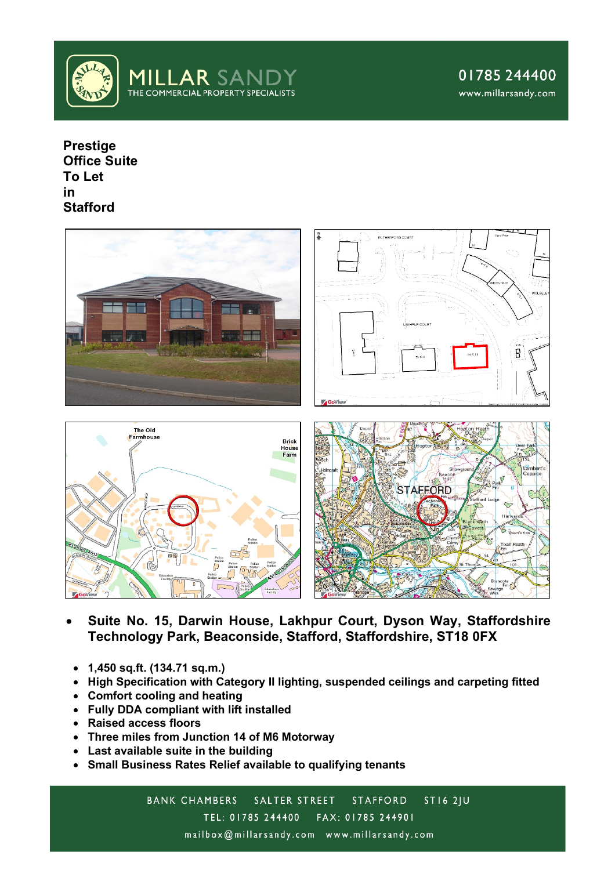

01785244400 www.millarsandy.com

**Prestige Office Suite To Let in Stafford**



- **Suite No. 15, Darwin House, Lakhpur Court, Dyson Way, Staffordshire Technology Park, Beaconside, Stafford, Staffordshire, ST18 0FX**
- **1,450 sq.ft. (134.71 sq.m.)**
- **High Specification with Category II lighting, suspended ceilings and carpeting fitted**
- **Comfort cooling and heating**
- **Fully DDA compliant with lift installed**
- **Raised access floors**
- **Three miles from Junction 14 of M6 Motorway**
- **Last available suite in the building**
- **Small Business Rates Relief available to qualifying tenants**

BANK CHAMBERS SALTER STREET **ST16 2IU STAFFORD** TEL: 01785 244400 FAX: 01785 244901 mailbox@millarsandy.com www.millarsandy.com